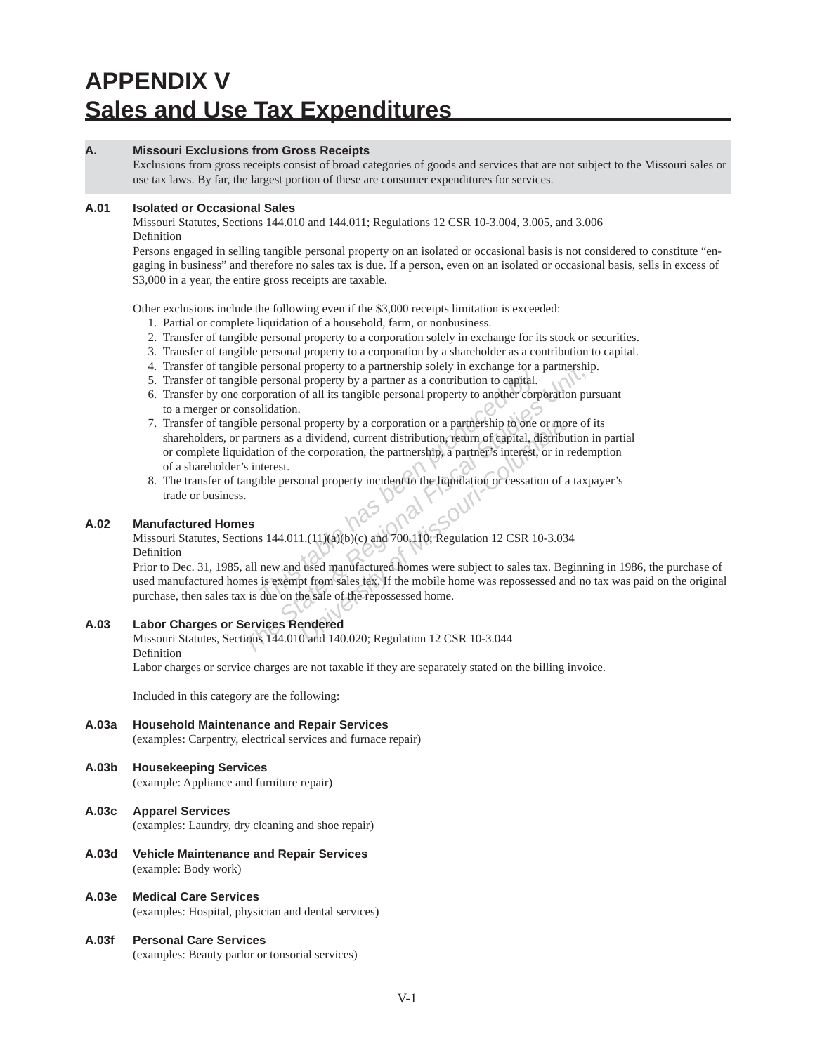# **APPENDIX V Sales and Use Tax Expenditures**

# **A. Missouri Exclusions from Gross Receipts**

Exclusions from gross receipts consist of broad categories of goods and services that are not subject to the Missouri sales or use tax laws. By far, the largest portion of these are consumer expenditures for services.

# **A.01 Isolated or Occasional Sales**

Missouri Statutes, Sections 144.010 and 144.011; Regulations 12 CSR 10-3.004, 3.005, and 3.006 Definition

Persons engaged in selling tangible personal property on an isolated or occasional basis is not considered to constitute "engaging in business" and therefore no sales tax is due. If a person, even on an isolated or occasional basis, sells in excess of \$3,000 in a year, the entire gross receipts are taxable.

Other exclusions include the following even if the \$3,000 receipts limitation is exceeded:

- 1. Partial or complete liquidation of a household, farm, or nonbusiness.
- 2. Transfer of tangible personal property to a corporation solely in exchange for its stock or securities.
- 3. Transfer of tangible personal property to a corporation by a shareholder as a contribution to capital.
- 4. Transfer of tangible personal property to a partnership solely in exchange for a partnership.
- 5. Transfer of tangible personal property by a partner as a contribution to capital.
- 6. Transfer by one corporation of all its tangible personal property to another corporation pursuant to a merger or consolidation.
- **The personal property by a partner as a contribution to capital.**<br> **The personal property by a partner as a contribution to capital.**<br> **Personal property by a corporation or a partnership to one**<br> **The meanst by a corpora** ble personal property to a partnership solety in exchange for a partnership<br>ble personal property by a partner as a contribution to capital.<br>Corporation of all its tangible personal property to another corporation pures<br>no property by a corporation or a partnership to one or motor dividend, current distribution, return of capital, distribute corporation, the partnership, a partner's interest, or in onal property incident to the liquidation o 7. Transfer of tangible personal property by a corporation or a partnership to one or more of its shareholders, or partners as a dividend, current distribution, return of capital, distribution in partial or complete liquidation of the corporation, the partnership, a partner's interest, or in redemption of a share holder's interest.
- 8. The transfer of tangible personal property incident to the liquidation or cessation of a taxpayer's trade or business.

# **A.02 Manufactured Homes**

# Missouri Statutes, Sections 144.011.(11)(a)(b)(c) and 700.110; Regulation 12 CSR 10-3.034 Definition

Prior to Dec. 31, 1985, all new and used manufactured homes were subject to sales tax. Beginning in 1986, the purchase of used manufactured homes is exempt from sales tax. If the mobile home was repossessed and no tax was paid on the original purchase, then sales tax is due on the sale of the repossessed home.

# **A.03 Labor Charges or Services Rendered**

Missouri Statutes, Sections 144.010 and 140.020; Regulation 12 CSR 10-3.044 Definition

Labor charges or service charges are not taxable if they are separately stated on the billing invoice.

Included in this category are the following:

**A.03a Household Maintenance and Repair Services** (examples: Carpentry, electrical services and furnace repair)

# **A.03b Housekeeping Services**

(example: Appliance and furniture repair)

- **A.03c Apparel Services** (examples: Laundry, dry cleaning and shoe repair)
- **A.03d Vehicle Maintenance and Repair Services** (example: Body work)
- **A.03e Medical Care Services** (examples: Hospital, physician and dental services)
- **A.03f Personal Care Services** (examples: Beauty parlor or tonsorial services)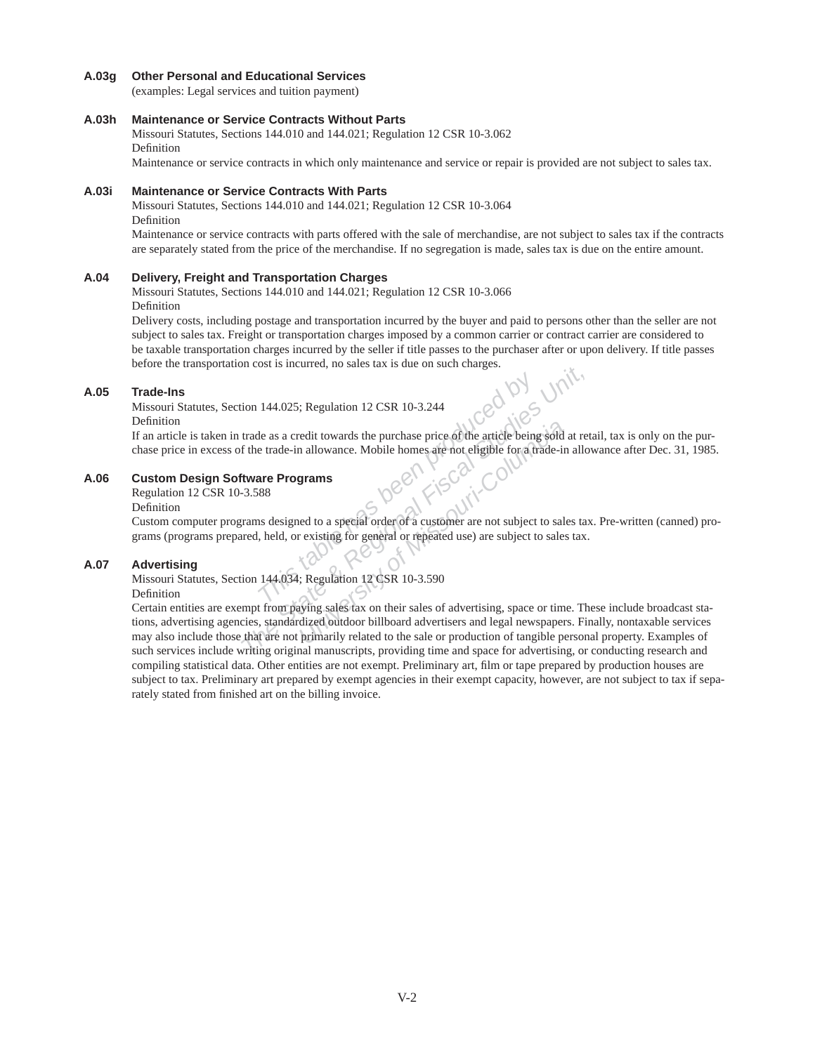#### **A.03g Other Personal and Educational Services**

(examples: Legal services and tuition payment)

#### **A.03h Maintenance or Service Contracts Without Parts**

Missouri Statutes, Sections 144.010 and 144.021; Regulation 12 CSR 10-3.062 Definition

Maintenance or service contracts in which only maintenance and service or repair is provided are not subject to sales tax.

# **A.03i Maintenance or Service Contracts With Parts**

Missouri Statutes, Sections 144.010 and 144.021; Regulation 12 CSR 10-3.064 Definition

Maintenance or service contracts with parts offered with the sale of merchandise, are not subject to sales tax if the contracts are separately stated from the price of the merchandise. If no segregation is made, sales tax is due on the entire amount.

#### **A.04 Delivery, Freight and Transportation Charges**

Missouri Statutes, Sections 144.010 and 144.021; Regulation 12 CSR 10-3.066 Definition

Delivery costs, including postage and transportation incurred by the buyer and paid to persons other than the seller are not subject to sales tax. Freight or transportation charges imposed by a common carrier or contract carrier are considered to be taxable transportation charges incurred by the seller if title passes to the purchaser after or upon delivery. If title passes before the transportation cost is incurred, no sales tax is due on such charges.

#### **A.05 Trade-Ins**

Missouri Statutes, Section 144.025; Regulation 12 CSR 10-3.244

Definition

If an article is taken in trade as a credit towards the purchase price of the article being sold at retail, tax is only on the purchase price in excess of the trade-in allowance. Mobile homes are not eligible for a trade-in allowance after Dec. 31, 1985.

# **A.06 Custom Design Software Programs**

Regulation 12 CSR 10-3.588

Definition

144.025; Regulation 12 CSR 10-3.244<br>
le as a credit towards the purchase price of the article being<br>
e trade-in allowance. Mobile homes are not eligible for a trade-in allowance. Mobile homes are not eligible for a trade-i Custom computer programs designed to a special order of a customer are not subject to sales tax. Pre-written (canned) programs (programs prepared, held, or existing for general or repeated use) are subject to sales tax.

# **A.07 Advertising**

Missouri Statutes, Section 144.034; Regulation 12 CSR 10-3.590

#### Definition

Figure 3.5 metallical, the state of state of state changes.<br>
The State of State Changes 2.1 and tracked trade as a credit towards the purchase price of the article being sold at ret<br> **The trade-in allowance.** Mobile homes redit towards the purchase price of the article being sold<br>
a allowance. Mobile homes are not eligible for a trade-in<br> **grams**<br>
ed to a special order of a customer are not subject to sale<br>
rexisting for general or repeated Certain entities are exempt from paying sales tax on their sales of advertising, space or time. These include broadcast stations, advertising agencies, standardized outdoor billboard advertisers and legal newspapers. Finally, nontaxable services may also include those that are not primarily related to the sale or production of tangible personal property. Examples of such services include writing original manuscripts, providing time and space for advertising, or conducting research and compiling statistical data. Other entities are not exempt. Preliminary art, film or tape prepared by production houses are subject to tax. Preliminary art prepared by exempt agencies in their exempt capacity, however, are not subject to tax if separately stated from finished art on the billing invoice.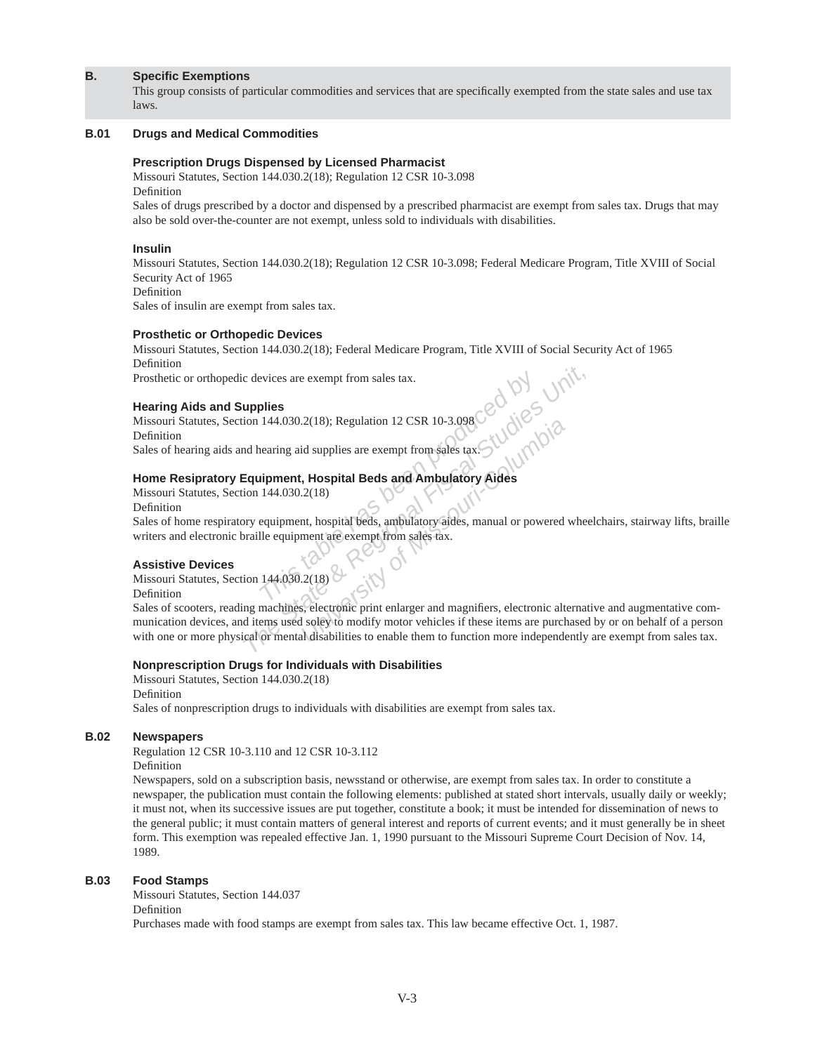# **B.** Specific Exemptions

This group consists of particular commodities and services that are specifically exempted from the state sales and use tax laws.

#### **B.01 Drugs and Medical Commodities**

#### **Prescription Drugs Dispensed by Licensed Pharmacist**

Missouri Statutes, Section 144.030.2(18); Regulation 12 CSR 10-3.098 Definition

Sales of drugs prescribed by a doctor and dispensed by a prescribed pharmacist are exempt from sales tax. Drugs that may also be sold over-the-counter are not exempt, unless sold to individuals with disabilities.

#### **Insulin**

Missouri Statutes, Section 144.030.2(18); Regulation 12 CSR 10-3.098; Federal Medicare Program, Title XVIII of Social Security Act of 1965

Definition

Sales of insulin are exempt from sales tax.

#### **Prosthetic or Orthopedic Devices**

Missouri Statutes, Section 144.030.2(18); Federal Medicare Program, Title XVIII of Social Security Act of 1965 Definition

Prosthetic or orthopedic devices are exempt from sales tax.

#### **Hearing Aids and Supplies**

Missouri Statutes, Section 144.030.2(18); Regulation 12 CSR 10-3.098 Definition Sales of hearing aids and hearing aid supplies are exempt from sales tax.

## **Home Resipratory Equipment, Hospital Beds and Ambulatory Aides**

Missouri Statutes, Section 144.030.2(18)

Definition Sales of home respiratory equipment, hospital beds, ambulatory aides, manual or powered wheelchairs, stairway lifts, braille writers and electronic braille equipment are exempt from sales tax.

#### **Assistive Devices**

Missouri Statutes, Section 144.030.2(18)

Definition

*This tax.*<br> **This table has a first of Missouri-Columbia**<br> **The State Been produced by Columbia**<br> **The State Been produced by Columbia**<br> **The State Been produced by a state of Missouri-Columbia**<br> **The State State Studies** Sales of scooters, reading machines, electronic print enlarger and magnifiers, electronic alternative and augmentative communication devices, and items used soley to modify motor vehicles if these items are purchased by or on behalf of a person with one or more physical or mental disabilities to enable them to function more independently are exempt from sales tax.

## **Nonprescription Drugs for Individuals with Disabilities**

Missouri Statutes, Section 144.030.2(18) Definition

Sales of nonprescription drugs to individuals with disabilities are exempt from sales tax.

# **B.02 Newspapers**

Regulation 12 CSR 10-3.110 and 12 CSR 10-3.112

Definition

Newspapers, sold on a subscription basis, newsstand or otherwise, are exempt from sales tax. In order to constitute a newspaper, the publication must contain the following elements: published at stated short intervals, usually daily or weekly; it must not, when its successive issues are put together, constitute a book; it must be intended for dissemination of news to the general public; it must contain matters of general interest and reports of current events; and it must generally be in sheet form. This exemption was repealed effective Jan. 1, 1990 pursuant to the Missouri Supreme Court Decision of Nov. 14, 1989.

#### **B.03 Food Stamps**

Missouri Statutes, Section 144.037 Definition Purchases made with food stamps are exempt from sales tax. This law became effective Oct. 1, 1987.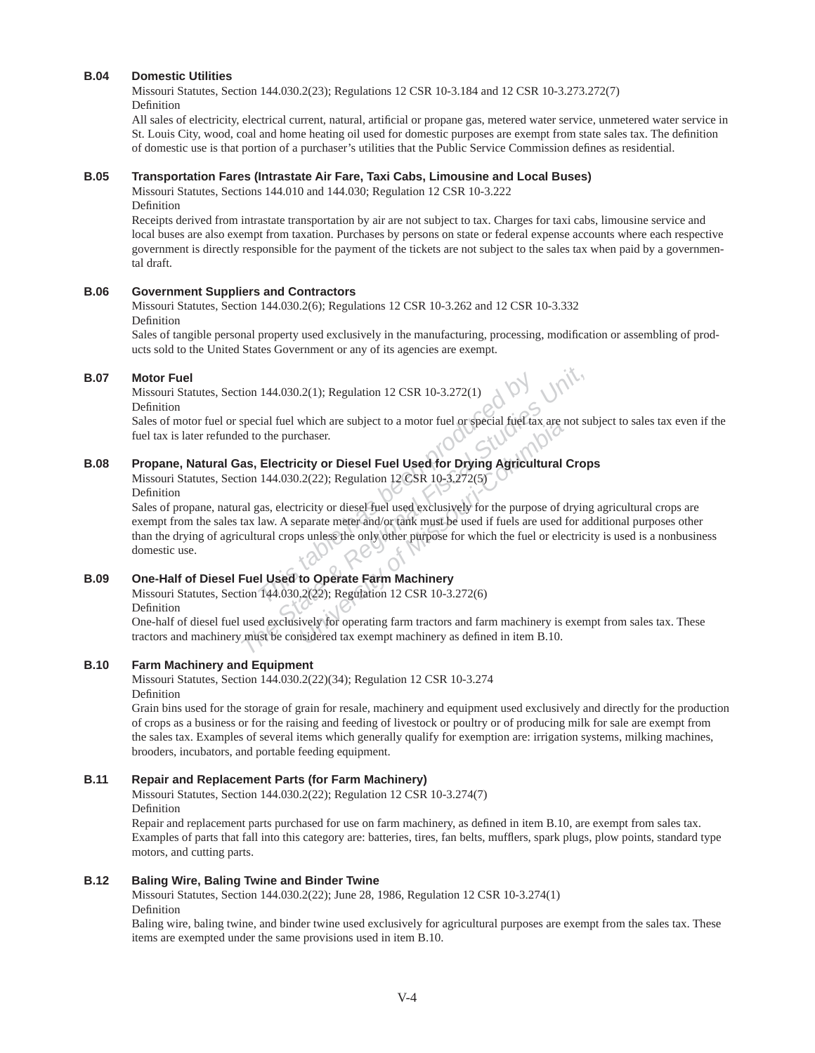# **B.04 Domestic Utilities**

Missouri Statutes, Section 144.030.2(23); Regulations 12 CSR 10-3.184 and 12 CSR 10-3.273.272(7) Definition

All sales of electricity, electrical current, natural, artificial or propane gas, metered water service, unmetered water service in St. Louis City, wood, coal and home heating oil used for domestic purposes are exempt from state sales tax. The definition of domestic use is that portion of a purchaser's utilities that the Public Service Commission defines as residential.

# **B.05 Transportation Fares (Intrastate Air Fare, Taxi Cabs, Limousine and Local Buses)**

Missouri Statutes, Sections 144.010 and 144.0 30; Regulation 12 CSR 10-3.222 Definition

Receipts derived from intrastate transportation by air are not subject to tax. Charges for taxi cabs, limousine service and local buses are also exempt from taxation. Purchases by persons on state or federal expense accounts where each respective government is directly responsible for the payment of the tickets are not subject to the sales tax when paid by a governmental draft.

# **B.06 Government Suppliers and Contractors**

Missouri Statutes, Section 144.030.2(6); Regulations 12 CSR 10-3.262 and 12 CSR 10-3.332 Definition

Sales of tangible personal property used exclusively in the manufacturing, processing, modification or assembling of products sold to the United States Government or any of its agencies are exempt.

## **B.07 Motor Fuel**

Missouri Statutes, Section 144.030.2(1); Regulation 12 CSR 10-3.272(1) Definition

Sales of motor fuel or special fuel which are subject to a motor fuel or special fuel tax are not subject to sales tax even if the fuel tax is later refunded to the purchaser.

# **B.08 Propane, Natural Gas, Electricity or Diesel Fuel Used for Drying Agricultural Crops**

Missouri Statutes, Section 144.030.2(22); Regulation 12 CSR 10-3.272(5)

# Definition

144.030.2(1); Regulation 12 CSR 10-3.272(1)<br>
Trial fuel which are subject to a motor fuel or special fuel ta<br>
the purchaser.<br> **Electricity or Diesel Fuel Used for Drying Agricul-**<br>
144.030.2(22); Regulation 12 CSR 10-3.272 *The State Bayer State State State State State State State State State State State State State State State State State State State State State State State State State State State State State State State State State State S* which are subject to a motor fuel or special fuel tax are chaser.<br> **Columbia**<br> **Columbia**<br> **University or Diesel Fuel Used for Drying Agricultural**<br>  $2(22)$ ; Regulation 12 CSR 10-3.272(5)<br>
Ficity or diesel fuel used exclus Sales of propane, natural gas, electricity or diesel fuel used exclusively for the purpose of drying agricultural crops are exempt from the sales tax law. A separate meter and/or tank must be used if fuels are used for additional purposes other than the drying of agricultural crops unless the only other purpose for which the fuel or electricity is used is a nonbusiness domestic use.

# **B.09 One-Half of Diesel Fuel Used to Operate Farm Machinery**

Missouri Statutes, Section 144.030.2(22); Regulation 12 CSR 10-3.272(6)

Definition

One-half of diesel fuel used exclusively for operating farm tractors and farm machinery is exempt from sales tax. These tractors and machinery must be considered tax exempt machinery as defined in item B.10.

# **B.10 Farm Machinery and Equipment**

Missouri Statutes, Section 144.030.2(22)(34); Regulation 12 CSR 10-3.274 Definition

Grain bins used for the storage of grain for resale, machinery and equipment used exclusively and directly for the production of crops as a business or for the raising and feeding of livestock or poultry or of producing milk for sale are exempt from the sales tax. Examples of several items which generally qualify for exemption are: irrigation systems, milking machines, brooders, incubators, and portable feeding equipment.

#### **B.11 Repair and Replacement Parts (for Farm Machinery)**

Missouri Statutes, Section 144.030.2(22); Regulation 12 CSR 10-3.274(7) Definition

Repair and replacement parts purchased for use on farm machinery, as defined in item B.10, are exempt from sales tax. Examples of parts that fall into this category are: batteries, tires, fan belts, mufflers, spark plugs, plow points, standard type motors, and cutting parts.

#### **B.12 Baling Wire, Baling Twine and Binder Twine**

Missouri Statutes, Section 144.030.2(22); June 28, 1986, Regulation 12 CSR 10-3.274(1) Definition

Baling wire, baling twine, and binder twine used exclusively for agricultural purposes are exempt from the sales tax. These items are exempted under the same provisions used in item B.10.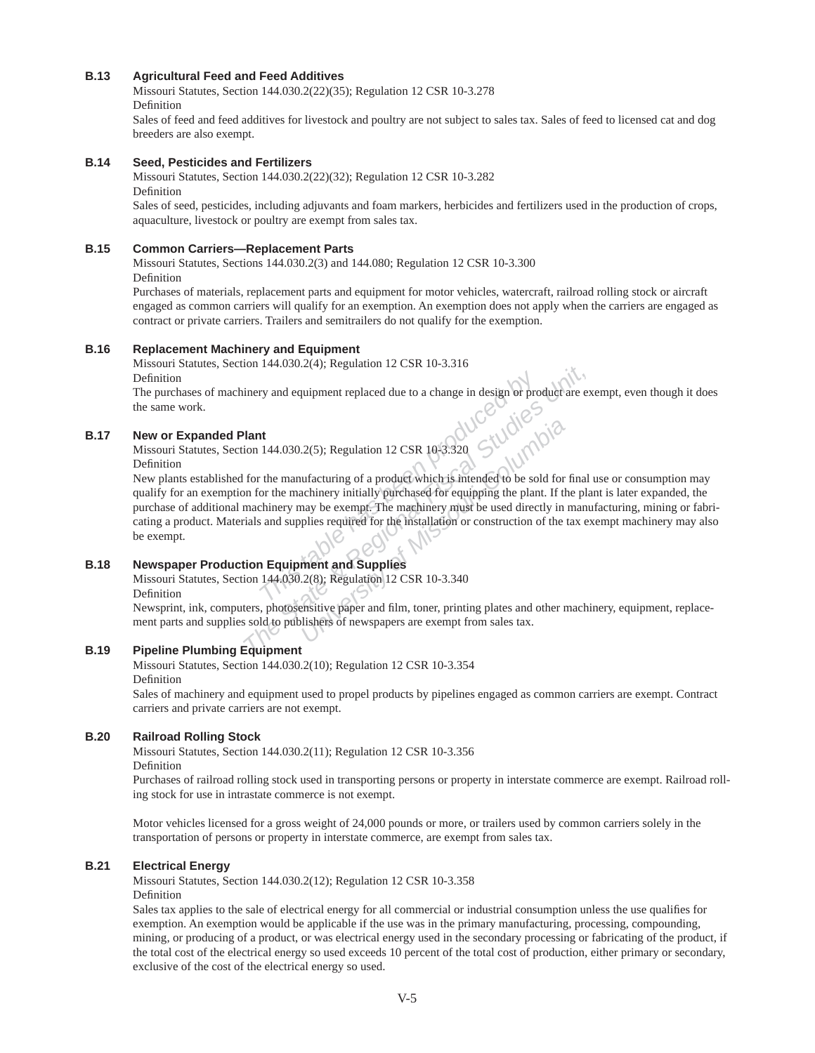# **B.13 Agricultural Feed and Feed Additives**

Missouri Statutes, Section 144.030.2(22)(35); Regulation 12 CSR 10-3.278 Definition

Sales of feed and feed additives for livestock and poultry are not subject to sales tax. Sales of feed to licensed cat and dog breeders are also exempt.

# **B.14 Seed, Pesticides and Fertilizers**

Missouri Statutes, Section 144.030.2(22)(32); Regulation 12 CSR 10-3.282 Definition

Sales of seed, pesticides, including adjuvants and foam markers, herbicides and fertilizers used in the production of crops, aquaculture, livestock or poultry are exempt from sales tax.

## **B.15 Common Carriers—Replacement Parts**

Missouri Statutes, Sections 144.030.2(3) and 144.080; Regulation 12 CSR 10-3.300 Definition

Purchases of materials, replacement parts and equipment for motor vehicles, watercraft, railroad rolling stock or aircraft engaged as common carriers will qualify for an exemption. An exemption does not apply when the carriers are engaged as contract or private carriers. Trailers and semitrailers do not qualify for the exemption.

#### **B.16 Replacement Machinery and Equipment**

Missouri Statutes, Section 144.030.2(4); Regulation 12 CSR 10-3.316 Definition

The purchases of machinery and equipment replaced due to a change in design or product are exempt, even though it does the same work.

## **B.17 New or Expanded Plant**

Missouri Statutes, Section 144.030.2(5); Regulation 12 CSR 10-3.320 Definition

**The This table has been produced by a change in design or product are exempt.**<br> **Thant**<br> **The State By and Exempt State & Regulation 12 CSR 10-3.320**<br> **The manufacturing of a product which is intended to be sold for final** New plants established for the manufacturing of a product which is intended to be sold for final use or consumption may qualify for an exemption for the machinery initially purchased for equipping the plant. If the plant is later expanded, the purchase of additional machinery may be exempt. The machinery must be used directly in manufacturing, mining or fabricating a product. Materials and supplies required for the installation or construction of the tax exempt machinery may also be exempt.

# **B.18 Newspaper Production Equipment and Supplies**

Missouri Statutes, Section 144.030.2(8); Regulation 12 CSR 10-3.340 Definition

Newsprint, ink, computers, photosensitive paper and film, toner, printing plates and other machinery, equipment, replacement parts and supplies sold to publishers of newspapers are exempt from sales tax.

# **B.19 Pipeline Plumbing Equipment**

Missouri Statutes, Section 144.030.2(10); Regulation 12 CSR 10-3.354 Definition

Sales of machinery and equipment used to propel products by pipelines engaged as common carriers are exempt. Contract carriers and private carriers are not exempt.

#### **B.20 Railroad Rolling Stock**

Missouri Statutes, Section 144.030.2(11); Regulation 12 CSR 10-3.356

Definition

Purchases of railroad rolling stock used in transporting persons or property in interstate commerce are exempt. Railroad rolling stock for use in intrastate commerce is not exempt.

Motor vehicles licensed for a gross weight of 24,000 pounds or more, or trailers used by common carriers solely in the transportation of persons or property in interstate commerce, are exempt from sales tax.

# **B.21 Electrical Energy**

Missouri Statutes, Section 144.030.2(12); Regulation 12 CSR 10-3.358 Definition

Sales tax applies to the sale of electrical energy for all commercial or industrial consumption unless the use qualifies for exemption. An exemption would be applicable if the use was in the primary manufacturing, processing, compounding, mining, or producing of a product, or was electrical energy used in the secondary processing or fabricating of the product, if the total cost of the electrical energy so used exceeds 10 percent of the total cost of production, either primary or secondary, exclusive of the cost of the electrical energy so used.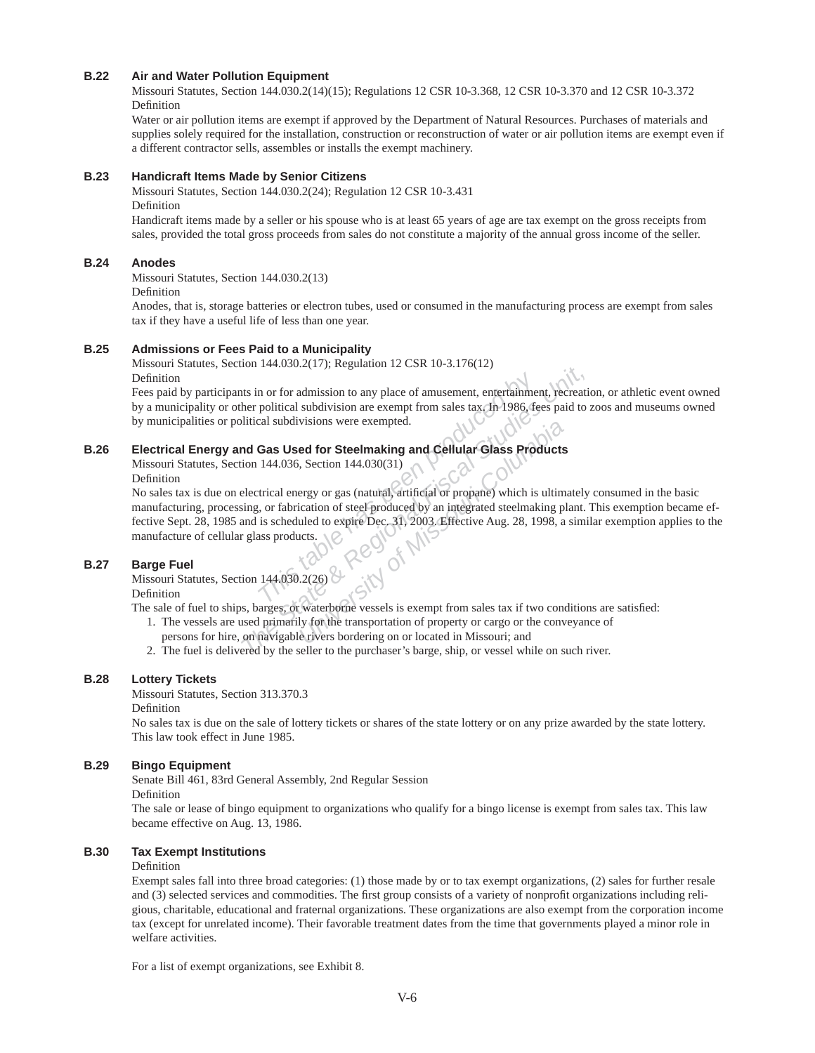# **B.22 Air and Water Pollution Equipment**

Missouri Statutes, Section 144.030.2(14)(15); Regulations 12 CSR 10-3.368, 12 CSR 10-3.370 and 12 CSR 10-3.372 Definition

Water or air pollution items are exempt if approved by the Department of Natural Resources. Purchases of materials and supplies solely required for the installation, construction or reconstruction of water or air pollution items are exempt even if a different contractor sells, assembles or installs the exempt machinery.

#### **B.23 Handicraft Items Made by Senior Citizens**

Missouri Statutes, Section 144.030.2(24); Regulation 12 CSR 10-3.431 Definition

Handicraft items made by a seller or his spouse who is at least 65 years of age are tax exempt on the gross receipts from sales, provided the total gross proceeds from sales do not constitute a majority of the annual gross income of the seller.

# **B.24 Anodes**

Missouri Statutes, Section 144.030.2(13)

Definition

Anodes, that is, storage batteries or electron tubes, used or consumed in the manufacturing process are exempt from sales tax if they have a useful life of less than one year.

#### **B.25 Admissions or Fees Paid to a Municipality**

Missouri Statutes, Section 144.030.2(17); Regulation 12 CSR 10-3.176(12) Definition

Fees paid by participants in or for admission to any place of amusement, entertainment, recreation, or athletic event owned by a municipality or other political subdivision are exempt from sales tax. In 1986, fees paid to zoos and museums owned by municipalities or political subdivisions were exempted.

#### **B.26 Electrical Energy and Gas Used for Steelmaking and Cellular Glass Products**

Missouri Statutes, Section 144.036, Section 144.030(31)

Definition

**The Alternation School Set of the School Set of the School Set of the School Set of the Buddivisions were exempted.<br>
<b>Gas Used for Steelmaking and Cellular Glass Pro**<br> **Gas Used for Steelmaking and Cellular Glass Pro**<br>
14 **The State State And State State State State State State State State State State State State State State State State State State State State State State State State State State State State State State State State State Sta** visions were exempted.<br> **Example 16 Occupy and Cellular Glass Products**<br>
Freed for Steelmaking and Cellular Glass Products<br>
Figure 144.030(31)<br>
uled to expire Dec. 31, 2003. Effective Aug. 28, 1998, a<br>
uled to expire Dec. No sales tax is due on electrical energy or gas (natural, artificial or propane) which is ultimately consumed in the basic manufacturing, processing, or fabrication of steel produced by an integrated steelmaking plant. This exemption became effective Sept. 28, 1985 and is scheduled to expire Dec. 31, 2003. Effective Aug. 28, 1998, a similar exemption applies to the manufacture of cellular glass products.

#### **B.27 Barge Fuel**

Missouri Statutes, Section 144.030.2(26)

Definition

The sale of fuel to ships, barges, or waterborne vessels is exempt from sales tax if two conditions are satisfied:

- 1. The vessels are used primarily for the transportation of property or cargo or the conveyance of persons for hire, on navigable rivers bordering on or located in Missouri; and
- 2. The fuel is delivered by the seller to the purchaser's barge, ship, or vessel while on such river.

## **B.28 Lottery Tickets**

Missouri Statutes, Section 313.370.3

Definition

No sales tax is due on the sale of lottery tickets or shares of the state lottery or on any prize awarded by the state lottery. This law took effect in June 1985.

#### **B.29 Bingo Equipment**

Senate Bill 461, 83rd General Assembly, 2nd Regular Session

Definition

The sale or lease of bingo equipment to organizations who qualify for a bingo license is exempt from sales tax. This law became effective on Aug. 13, 1986.

# **B.30 Tax Exempt Institutions**

#### Definition

Exempt sales fall into three broad categories: (1) those made by or to tax exempt organizations, (2) sales for further resale and (3) selected services and commodities. The first group consists of a variety of nonprofit organizations including religious, charitable, educational and fraternal organizations. These organizations are also exempt from the corporation income tax (except for unrelated income). Their favorable treatment dates from the time that governments played a minor role in welfare activities.

For a list of exempt organizations, see Exhibit 8.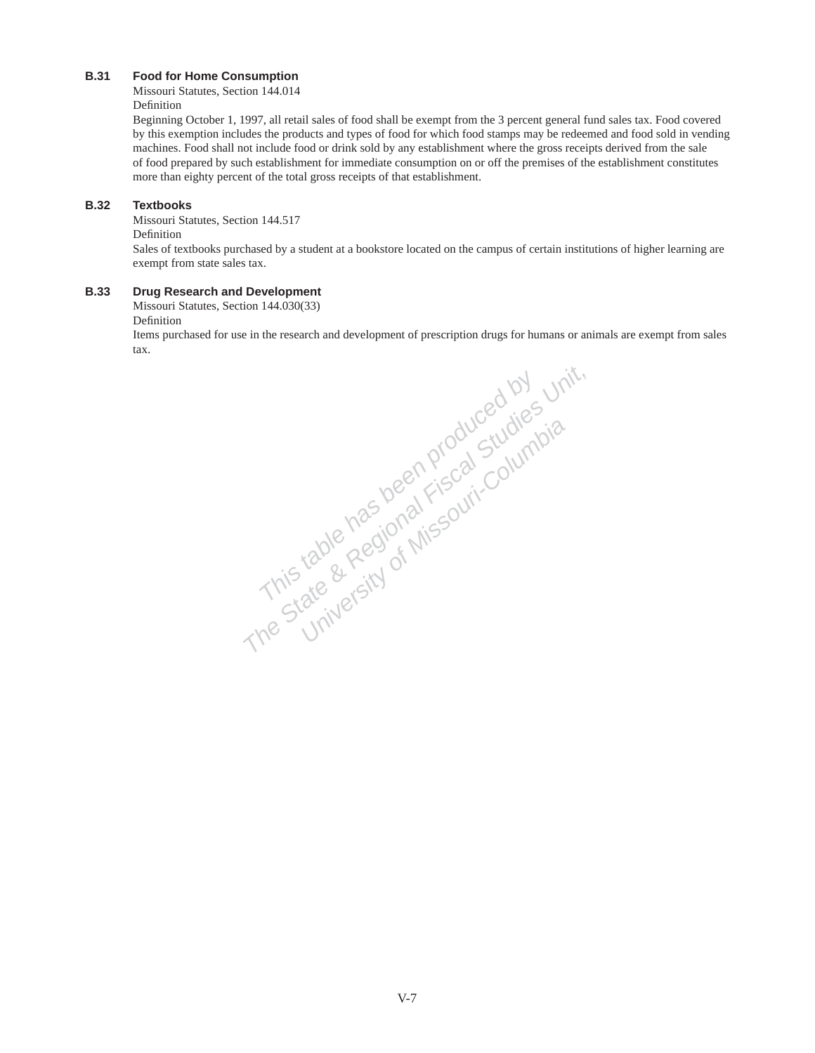# **B.31 Food for Home Consumption**

Missouri Statutes, Section 144.014 Definition

Beginning October 1, 1997, all retail sales of food shall be exempt from the 3 percent general fund sales tax. Food covered by this exemption includes the products and types of food for which food stamps may be redeemed and food sold in vending machines. Food shall not include food or drink sold by any establishment where the gross receipts derived from the sale of food prepared by such establishment for immediate consumption on or off the premises of the establishment constitutes more than eighty percent of the total gross receipts of that establishment.

# **B.32 Textbooks**

Missouri Statutes, Section 144.517

# Definition

Sales of textbooks purchased by a student at a bookstore located on the campus of certain institutions of higher learning are exempt from state sales tax.

# **B.33 Drug Research and Development**

Missouri Statutes, Section 144.030(33)

# Definition

Items purchased for use in the research and development of prescription drugs for humans or animals are exempt from sales tax.

This table has been produced by unit,<br>This table has been produced by unit,<br>This table Regional Fiscal Studies by<br>The State & Regional Fiscal Stumbia